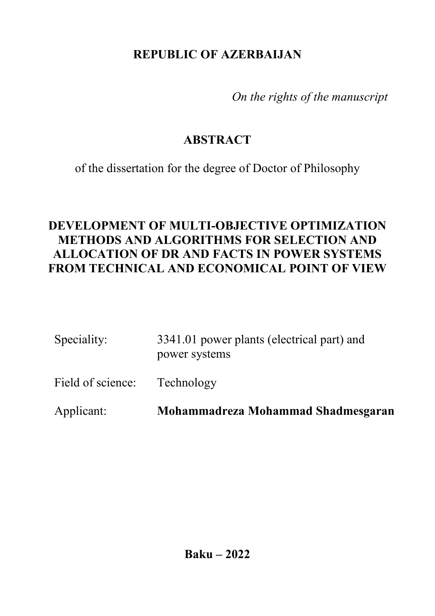## **REPUBLIC OF AZERBAIJAN**

*On the rights of the manuscript*

# **ABSTRACT**

of the dissertation for the degree of Doctor of Philosophy

## **DEVELOPMENT OF MULTI-OBJECTIVE OPTIMIZATION METHODS AND ALGORITHMS FOR SELECTION AND ALLOCATION OF DR AND FACTS IN POWER SYSTEMS FROM TECHNICAL AND ECONOMICAL POINT OF VIEW**

| Speciality:       | 3341.01 power plants (electrical part) and<br>power systems |  |  |
|-------------------|-------------------------------------------------------------|--|--|
| Field of science: | Technology                                                  |  |  |
| Applicant:        | Mohammadreza Mohammad Shadmesgaran                          |  |  |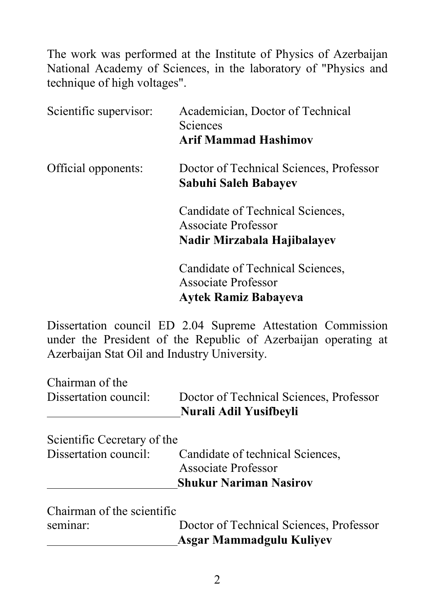The work was performed at the Institute of Physics of Azerbaijan National Academy of Sciences, in the laboratory of "Physics and technique of high voltages".

| Scientific supervisor: | Academician, Doctor of Technical<br><b>Sciences</b><br><b>Arif Mammad Hashimov</b>            |
|------------------------|-----------------------------------------------------------------------------------------------|
| Official opponents:    | Doctor of Technical Sciences, Professor<br>Sabuhi Saleh Babayev                               |
|                        | Candidate of Technical Sciences,<br>Associate Professor<br>Nadir Mirzabala Hajibalayev        |
|                        | Candidate of Technical Sciences,<br><b>Associate Professor</b><br><b>Aytek Ramiz Babayeva</b> |

Dissertation council ED 2.04 Supreme Attestation Commission under the President of the Republic of Azerbaijan operating at Azerbaijan Stat Oil and Industry University.

| Chairman of the<br>Dissertation council:             | Doctor of Technical Sciences, Professor<br>Nurali Adil Yusifbeyli |
|------------------------------------------------------|-------------------------------------------------------------------|
| Scientific Cecretary of the<br>Dissertation council: | Candidate of technical Sciences,                                  |
|                                                      | Associate Professor                                               |
|                                                      | <b>Shukur Nariman Nasirov</b>                                     |
| Chairman of the scientific                           |                                                                   |

|                           | Asgar Mammadgulu Kuliyev                |
|---------------------------|-----------------------------------------|
| seminar:                  | Doctor of Technical Sciences, Professor |
| Chamman of the scientific |                                         |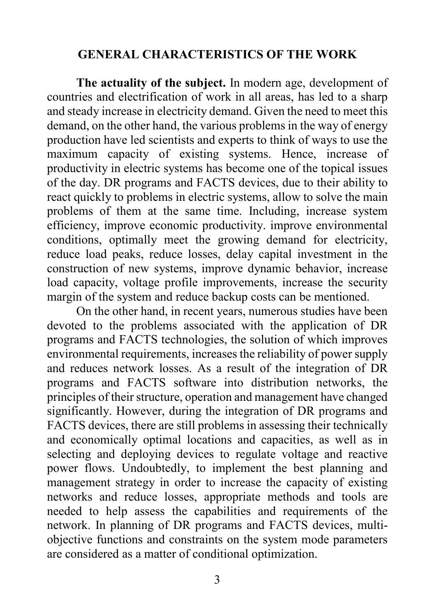#### **GENERAL CHARACTERISTICS OF THE WORK**

**The actuality of the subject.** In modern age, development of countries and electrification of work in all areas, has led to a sharp and steady increase in electricity demand. Given the need to meet this demand, on the other hand, the various problems in the way of energy production have led scientists and experts to think of ways to use the maximum capacity of existing systems. Hence, increase of productivity in electric systems has become one of the topical issues of the day. DR programs and FACTS devices, due to their ability to react quickly to problems in electric systems, allow to solve the main problems of them at the same time. Including, increase system efficiency, improve economic productivity. improve environmental conditions, optimally meet the growing demand for electricity, reduce load peaks, reduce losses, delay capital investment in the construction of new systems, improve dynamic behavior, increase load capacity, voltage profile improvements, increase the security margin of the system and reduce backup costs can be mentioned.

On the other hand, in recent years, numerous studies have been devoted to the problems associated with the application of DR programs and FACTS technologies, the solution of which improves environmental requirements, increases the reliability of power supply and reduces network losses. As a result of the integration of DR programs and FACTS software into distribution networks, the principles of their structure, operation and management have changed significantly. However, during the integration of DR programs and FACTS devices, there are still problems in assessing their technically and economically optimal locations and capacities, as well as in selecting and deploying devices to regulate voltage and reactive power flows. Undoubtedly, to implement the best planning and management strategy in order to increase the capacity of existing networks and reduce losses, appropriate methods and tools are needed to help assess the capabilities and requirements of the network. In planning of DR programs and FACTS devices, multiobjective functions and constraints on the system mode parameters are considered as a matter of conditional optimization.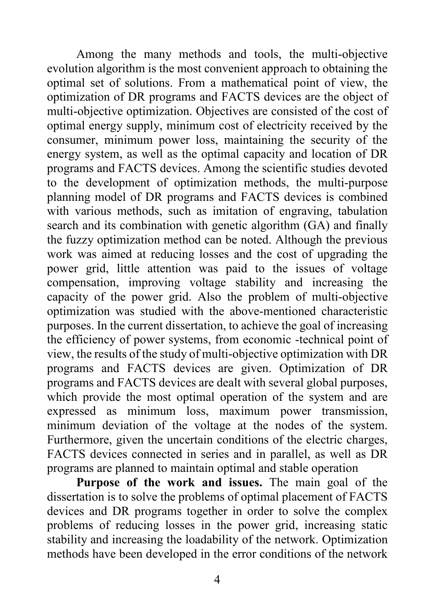Among the many methods and tools, the multi-objective evolution algorithm is the most convenient approach to obtaining the optimal set of solutions. From a mathematical point of view, the optimization of DR programs and FACTS devices are the object of multi-objective optimization. Objectives are consisted of the cost of optimal energy supply, minimum cost of electricity received by the consumer, minimum power loss, maintaining the security of the energy system, as well as the optimal capacity and location of DR programs and FACTS devices. Among the scientific studies devoted to the development of optimization methods, the multi-purpose planning model of DR programs and FACTS devices is combined with various methods, such as imitation of engraving, tabulation search and its combination with genetic algorithm (GA) and finally the fuzzy optimization method can be noted. Although the previous work was aimed at reducing losses and the cost of upgrading the power grid, little attention was paid to the issues of voltage compensation, improving voltage stability and increasing the capacity of the power grid. Also the problem of multi-objective optimization was studied with the above-mentioned characteristic purposes. In the current dissertation, to achieve the goal of increasing the efficiency of power systems, from economic -technical point of view, the results of the study of multi-objective optimization with DR programs and FACTS devices are given. Optimization of DR programs and FACTS devices are dealt with several global purposes, which provide the most optimal operation of the system and are expressed as minimum loss, maximum power transmission, minimum deviation of the voltage at the nodes of the system. Furthermore, given the uncertain conditions of the electric charges, FACTS devices connected in series and in parallel, as well as DR programs are planned to maintain optimal and stable operation

**Purpose of the work and issues.** The main goal of the dissertation is to solve the problems of optimal placement of FACTS devices and DR programs together in order to solve the complex problems of reducing losses in the power grid, increasing static stability and increasing the loadability of the network. Optimization methods have been developed in the error conditions of the network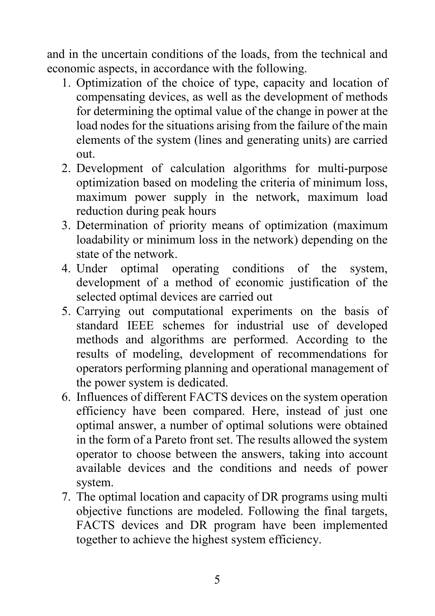and in the uncertain conditions of the loads, from the technical and economic aspects, in accordance with the following.

- 1. Optimization of the choice of type, capacity and location of compensating devices, as well as the development of methods for determining the optimal value of the change in power at the load nodes for the situations arising from the failure of the main elements of the system (lines and generating units) are carried out.
- 2. Development of calculation algorithms for multi-purpose optimization based on modeling the criteria of minimum loss, maximum power supply in the network, maximum load reduction during peak hours
- 3. Determination of priority means of optimization (maximum loadability or minimum loss in the network) depending on the state of the network.
- 4. Under optimal operating conditions of the system, development of a method of economic justification of the selected optimal devices are carried out
- 5. Carrying out computational experiments on the basis of standard IEEE schemes for industrial use of developed methods and algorithms are performed. According to the results of modeling, development of recommendations for operators performing planning and operational management of the power system is dedicated.
- 6. Influences of different FACTS devices on the system operation efficiency have been compared. Here, instead of just one optimal answer, a number of optimal solutions were obtained in the form of a Pareto front set. The results allowed the system operator to choose between the answers, taking into account available devices and the conditions and needs of power system.
- 7. The optimal location and capacity of DR programs using multi objective functions are modeled. Following the final targets, FACTS devices and DR program have been implemented together to achieve the highest system efficiency.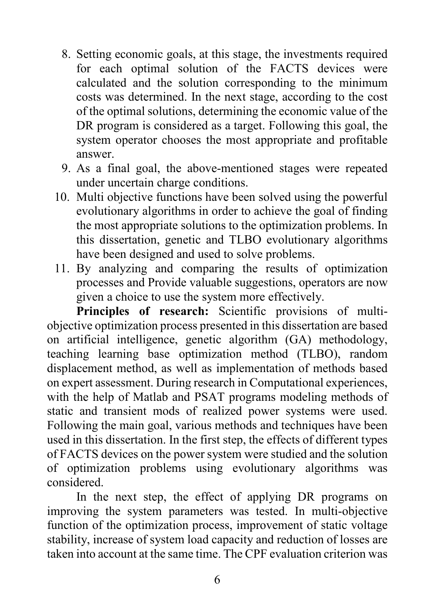- 8. Setting economic goals, at this stage, the investments required for each optimal solution of the FACTS devices were calculated and the solution corresponding to the minimum costs was determined. In the next stage, according to the cost of the optimal solutions, determining the economic value of the DR program is considered as a target. Following this goal, the system operator chooses the most appropriate and profitable answer.
- 9. As a final goal, the above-mentioned stages were repeated under uncertain charge conditions.
- 10. Multi objective functions have been solved using the powerful evolutionary algorithms in order to achieve the goal of finding the most appropriate solutions to the optimization problems. In this dissertation, genetic and TLBO evolutionary algorithms have been designed and used to solve problems.
- 11. By analyzing and comparing the results of optimization processes and Provide valuable suggestions, operators are now given a choice to use the system more effectively.

**Principles of research:** Scientific provisions of multiobjective optimization process presented in this dissertation are based on artificial intelligence, genetic algorithm (GA) methodology, teaching learning base optimization method (TLBO), random displacement method, as well as implementation of methods based on expert assessment. During research in Computational experiences, with the help of Matlab and PSAT programs modeling methods of static and transient mods of realized power systems were used. Following the main goal, various methods and techniques have been used in this dissertation. In the first step, the effects of different types of FACTS devices on the power system were studied and the solution of optimization problems using evolutionary algorithms was considered.

In the next step, the effect of applying DR programs on improving the system parameters was tested. In multi-objective function of the optimization process, improvement of static voltage stability, increase of system load capacity and reduction of losses are taken into account at the same time. The CPF evaluation criterion was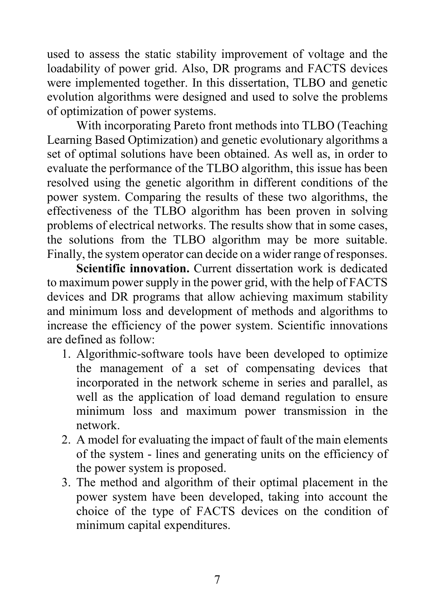used to assess the static stability improvement of voltage and the loadability of power grid. Also, DR programs and FACTS devices were implemented together. In this dissertation, TLBO and genetic evolution algorithms were designed and used to solve the problems of optimization of power systems.

With incorporating Pareto front methods into TLBO (Teaching Learning Based Optimization) and genetic evolutionary algorithms a set of optimal solutions have been obtained. As well as, in order to evaluate the performance of the TLBO algorithm, this issue has been resolved using the genetic algorithm in different conditions of the power system. Comparing the results of these two algorithms, the effectiveness of the TLBO algorithm has been proven in solving problems of electrical networks. The results show that in some cases, the solutions from the TLBO algorithm may be more suitable. Finally, the system operator can decide on a wider range of responses.

**Scientific innovation.** Current dissertation work is dedicated to maximum power supply in the power grid, with the help of FACTS devices and DR programs that allow achieving maximum stability and minimum loss and development of methods and algorithms to increase the efficiency of the power system. Scientific innovations are defined as follow:

- 1. Algorithmic-software tools have been developed to optimize the management of a set of compensating devices that incorporated in the network scheme in series and parallel, as well as the application of load demand regulation to ensure minimum loss and maximum power transmission in the network.
- 2. A model for evaluating the impact of fault of the main elements of the system - lines and generating units on the efficiency of the power system is proposed.
- 3. The method and algorithm of their optimal placement in the power system have been developed, taking into account the choice of the type of FACTS devices on the condition of minimum capital expenditures.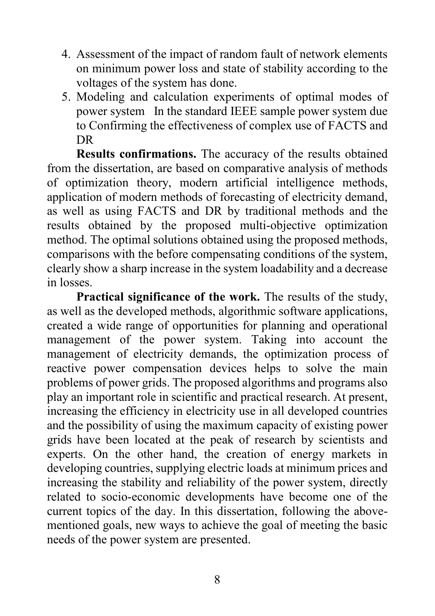- 4. Assessment of the impact of random fault of network elements on minimum power loss and state of stability according to the voltages of the system has done.
- 5. Modeling and calculation experiments of optimal modes of power system In the standard IEEE sample power system due to Confirming the effectiveness of complex use of FACTS and DR

**Results confirmations.** The accuracy of the results obtained from the dissertation, are based on comparative analysis of methods of optimization theory, modern artificial intelligence methods, application of modern methods of forecasting of electricity demand, as well as using FACTS and DR by traditional methods and the results obtained by the proposed multi-objective optimization method. The optimal solutions obtained using the proposed methods, comparisons with the before compensating conditions of the system, clearly show a sharp increase in the system loadability and a decrease in losses.

**Practical significance of the work.** The results of the study, as well as the developed methods, algorithmic software applications, created a wide range of opportunities for planning and operational management of the power system. Taking into account the management of electricity demands, the optimization process of reactive power compensation devices helps to solve the main problems of power grids. The proposed algorithms and programs also play an important role in scientific and practical research. At present, increasing the efficiency in electricity use in all developed countries and the possibility of using the maximum capacity of existing power grids have been located at the peak of research by scientists and experts. On the other hand, the creation of energy markets in developing countries, supplying electric loads at minimum prices and increasing the stability and reliability of the power system, directly related to socio-economic developments have become one of the current topics of the day. In this dissertation, following the abovementioned goals, new ways to achieve the goal of meeting the basic needs of the power system are presented.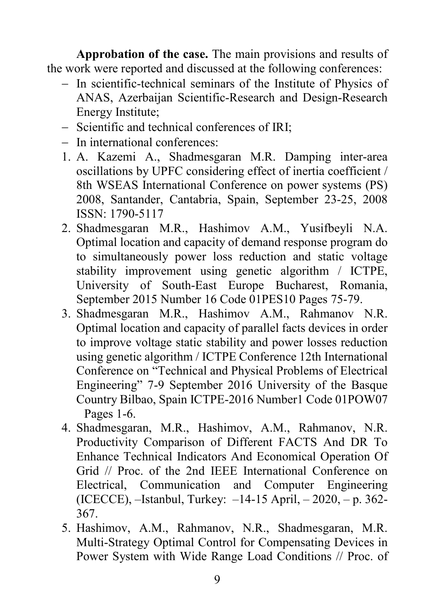**Approbation of the case.** The main provisions and results of the work were reported and discussed at the following conferences:

- − In scientific-technical seminars of the Institute of Physics of ANAS, Azerbaijan Scientific-Research and Design-Research Energy Institute;
- − Scientific and technical conferences of IRI;
- − In international conferences:
- 1. A. Kazemi A., Shadmesgaran M.R. Damping inter-area oscillations by UPFC considering effect of inertia coefficient / 8th WSEAS International Conference on power systems (PS) 2008, Santander, Cantabria, Spain, September 23-25, 2008 ISSN: 1790-5117
- 2. Shadmesgaran M.R., Hashimov A.M., Yusifbeyli N.A. Optimal location and capacity of demand response program do to simultaneously power loss reduction and static voltage stability improvement using genetic algorithm / ICTPE, University of South-East Europe Bucharest, Romania, September 2015 Number 16 Code 01PES10 Pages 75-79.
- 3. Shadmesgaran M.R., Hashimov A.M., Rahmanov N.R. Optimal location and capacity of parallel facts devices in order to improve voltage static stability and power losses reduction using genetic algorithm / ICTPE Conference 12th International Conference on "Technical and Physical Problems of Electrical Engineering" 7-9 September 2016 University of the Basque Country Bilbao, Spain ICTPE-2016 Number1 Code 01POW07 Pages 1-6.
- 4. Shadmesgaran, M.R., Hashimov, A.M., Rahmanov, N.R. Productivity Comparison of Different FACTS And DR To Enhance Technical Indicators And Economical Operation Of Grid // Proc. of the 2nd IEEE International Conference on Electrical, Communication and Computer Engineering (ICECCE), –Istanbul, Turkey: –14-15 April, – 2020, – p. 362- 367.
- 5. Hashimov, A.M., Rahmanov, N.R., Shadmesgaran, M.R. Multi-Strategy Optimal Control for Compensating Devices in Power System with Wide Range Load Conditions // Proc. of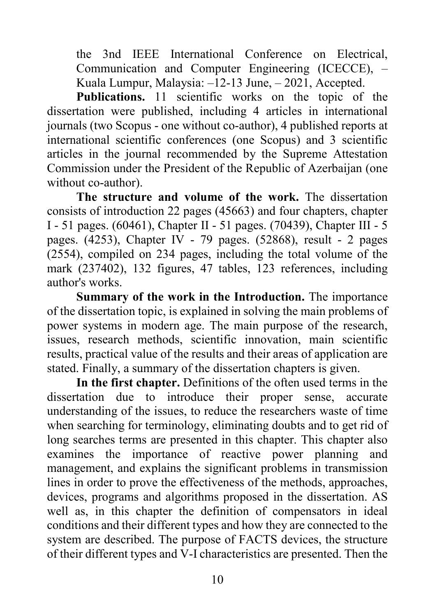the 3nd IEEE International Conference on Electrical, Communication and Computer Engineering (ICECCE), – Kuala Lumpur, Malaysia: –12-13 June, – 2021, Accepted.

**Publications.** 11 scientific works on the topic of the dissertation were published, including 4 articles in international journals (two Scopus - one without co-author), 4 published reports at international scientific conferences (one Scopus) and 3 scientific articles in the journal recommended by the Supreme Attestation Commission under the President of the Republic of Azerbaijan (one without co-author).

**The structure and volume of the work.** The dissertation consists of introduction 22 pages (45663) and four chapters, chapter I - 51 pages. (60461), Chapter II - 51 pages. (70439), Chapter III - 5 pages. (4253), Chapter IV - 79 pages. (52868), result - 2 pages (2554), compiled on 234 pages, including the total volume of the mark (237402), 132 figures, 47 tables, 123 references, including author's works.

**Summary of the work in the Introduction.** The importance of the dissertation topic, is explained in solving the main problems of power systems in modern age. The main purpose of the research, issues, research methods, scientific innovation, main scientific results, practical value of the results and their areas of application are stated. Finally, a summary of the dissertation chapters is given.

**In the first chapter.** Definitions of the often used terms in the dissertation due to introduce their proper sense, accurate understanding of the issues, to reduce the researchers waste of time when searching for terminology, eliminating doubts and to get rid of long searches terms are presented in this chapter. This chapter also examines the importance of reactive power planning and management, and explains the significant problems in transmission lines in order to prove the effectiveness of the methods, approaches, devices, programs and algorithms proposed in the dissertation. AS well as, in this chapter the definition of compensators in ideal conditions and their different types and how they are connected to the system are described. The purpose of FACTS devices, the structure of their different types and V-I characteristics are presented. Then the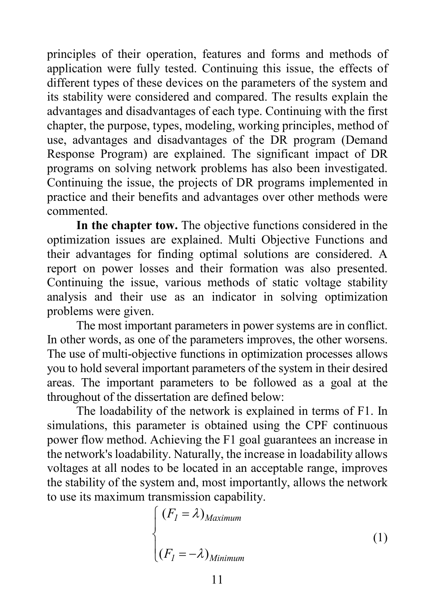principles of their operation, features and forms and methods of application were fully tested. Continuing this issue, the effects of different types of these devices on the parameters of the system and its stability were considered and compared. The results explain the advantages and disadvantages of each type. Continuing with the first chapter, the purpose, types, modeling, working principles, method of use, advantages and disadvantages of the DR program (Demand Response Program) are explained. The significant impact of DR programs on solving network problems has also been investigated. Continuing the issue, the projects of DR programs implemented in practice and their benefits and advantages over other methods were commented.

**In the chapter tow.** The objective functions considered in the optimization issues are explained. Multi Objective Functions and their advantages for finding optimal solutions are considered. A report on power losses and their formation was also presented. Continuing the issue, various methods of static voltage stability analysis and their use as an indicator in solving optimization problems were given.

The most important parameters in power systems are in conflict. In other words, as one of the parameters improves, the other worsens. The use of multi-objective functions in optimization processes allows you to hold several important parameters of the system in their desired areas. The important parameters to be followed as a goal at the throughout of the dissertation are defined below:

The loadability of the network is explained in terms of F1. In simulations, this parameter is obtained using the CPF continuous power flow method. Achieving the F1 goal guarantees an increase in the network's loadability. Naturally, the increase in loadability allows voltages at all nodes to be located in an acceptable range, improves the stability of the system and, most importantly, allows the network to use its maximum transmission capability.

$$
\begin{cases}\n(F_I = \lambda)_{Maximum} \\
(F_I = -\lambda)_{Minimum}\n\end{cases}
$$
\n(1)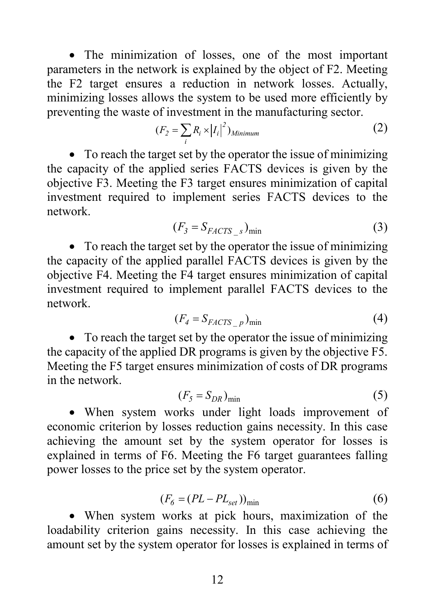• The minimization of losses, one of the most important parameters in the network is explained by the object of F2. Meeting the F2 target ensures a reduction in network losses. Actually, minimizing losses allows the system to be used more efficiently by preventing the waste of investment in the manufacturing sector.

$$
(F_2 = \sum_i R_i \times |I_i|^2)_{Minimum} \tag{2}
$$

• To reach the target set by the operator the issue of minimizing the capacity of the applied series FACTS devices is given by the objective F3. Meeting the F3 target ensures minimization of capital investment required to implement series FACTS devices to the network.

$$
(F_3 = S_{FACTS} \, )_{\text{min}} \tag{3}
$$

• To reach the target set by the operator the issue of minimizing the capacity of the applied parallel FACTS devices is given by the objective F4. Meeting the F4 target ensures minimization of capital investment required to implement parallel FACTS devices to the network.

$$
(F_4 = S_{FACTS\_p})_{\text{min}} \tag{4}
$$

• To reach the target set by the operator the issue of minimizing the capacity of the applied DR programs is given by the objective F5. Meeting the F5 target ensures minimization of costs of DR programs in the network.

$$
(F_5 = S_{DR})_{\min} \tag{5}
$$

• When system works under light loads improvement of economic criterion by losses reduction gains necessity. In this case achieving the amount set by the system operator for losses is explained in terms of F6. Meeting the F6 target guarantees falling power losses to the price set by the system operator.

$$
(F_6 = (PL - PL_{set}))_{\text{min}}\tag{6}
$$

• When system works at pick hours, maximization of the loadability criterion gains necessity. In this case achieving the amount set by the system operator for losses is explained in terms of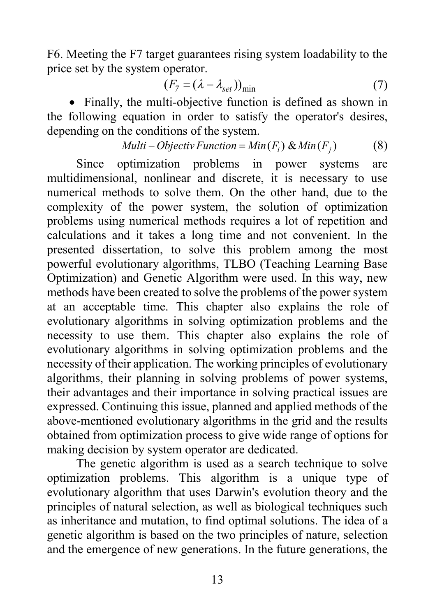F6. Meeting the F7 target guarantees rising system loadability to the price set by the system operator.

$$
(F_7 = (\lambda - \lambda_{set}))_{\min} \tag{7}
$$

• Finally, the multi-objective function is defined as shown in the following equation in order to satisfy the operator's desires, depending on the conditions of the system.

$$
Multi-Objectiv Function = Min(Fi) & Min(Fj)
$$
 (8)

Since optimization problems in power systems are multidimensional, nonlinear and discrete, it is necessary to use numerical methods to solve them. On the other hand, due to the complexity of the power system, the solution of optimization problems using numerical methods requires a lot of repetition and calculations and it takes a long time and not convenient. In the presented dissertation, to solve this problem among the most powerful evolutionary algorithms, TLBO (Teaching Learning Base Optimization) and Genetic Algorithm were used. In this way, new methods have been created to solve the problems of the power system at an acceptable time. This chapter also explains the role of evolutionary algorithms in solving optimization problems and the necessity to use them. This chapter also explains the role of evolutionary algorithms in solving optimization problems and the necessity of their application. The working principles of evolutionary algorithms, their planning in solving problems of power systems, their advantages and their importance in solving practical issues are expressed. Continuing this issue, planned and applied methods of the above-mentioned evolutionary algorithms in the grid and the results obtained from optimization process to give wide range of options for making decision by system operator are dedicated.

The genetic algorithm is used as a search technique to solve optimization problems. This algorithm is a unique type of evolutionary algorithm that uses Darwin's evolution theory and the principles of natural selection, as well as biological techniques such as inheritance and mutation, to find optimal solutions. The idea of a genetic algorithm is based on the two principles of nature, selection and the emergence of new generations. In the future generations, the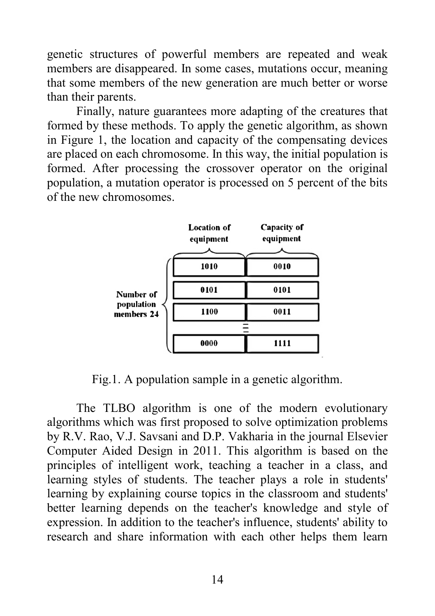genetic structures of powerful members are repeated and weak members are disappeared. In some cases, mutations occur, meaning that some members of the new generation are much better or worse than their parents.

Finally, nature guarantees more adapting of the creatures that formed by these methods. To apply the genetic algorithm, as shown in Figure 1, the location and capacity of the compensating devices are placed on each chromosome. In this way, the initial population is formed. After processing the crossover operator on the original population, a mutation operator is processed on 5 percent of the bits of the new chromosomes.

|                                       | <b>Location of</b><br>equipment | Capacity of<br>equipment |
|---------------------------------------|---------------------------------|--------------------------|
| Number of<br>population<br>members 24 | 1010                            | 0010                     |
|                                       | 0101                            | 0101                     |
|                                       | 1100                            | 0011                     |
|                                       |                                 |                          |
|                                       | 0000                            | 1111                     |

Fig.1. A population sample in a genetic algorithm.

The TLBO algorithm is one of the modern evolutionary algorithms which was first proposed to solve optimization problems by R.V. Rao, V.J. Savsani and D.P. Vakharia in the journal Elsevier Computer Aided Design in 2011. This algorithm is based on the principles of intelligent work, teaching a teacher in a class, and learning styles of students. The teacher plays a role in students' learning by explaining course topics in the classroom and students' better learning depends on the teacher's knowledge and style of expression. In addition to the teacher's influence, students' ability to research and share information with each other helps them learn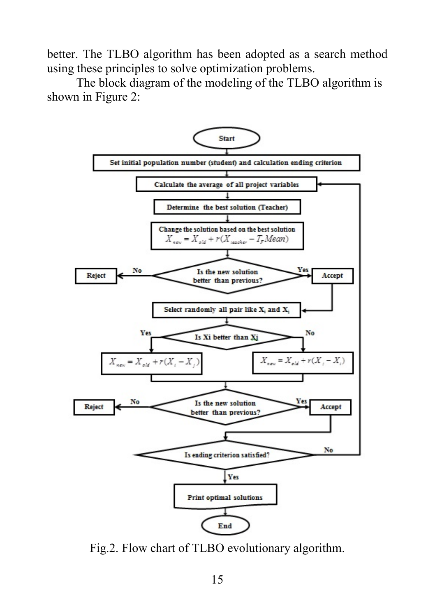better. The TLBO algorithm has been adopted as a search method using these principles to solve optimization problems.

The block diagram of the modeling of the TLBO algorithm is shown in Figure 2:



Fig.2. Flow chart of TLBO evolutionary algorithm.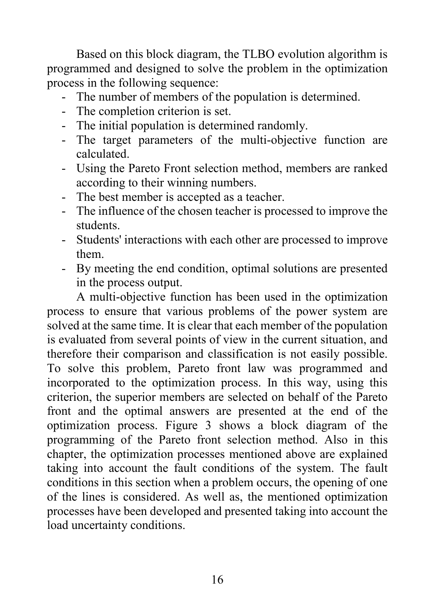Based on this block diagram, the TLBO evolution algorithm is programmed and designed to solve the problem in the optimization process in the following sequence:

- The number of members of the population is determined.
- The completion criterion is set.
- The initial population is determined randomly.
- The target parameters of the multi-objective function are calculated.
- Using the Pareto Front selection method, members are ranked according to their winning numbers.
- The best member is accepted as a teacher.
- The influence of the chosen teacher is processed to improve the students.
- Students' interactions with each other are processed to improve them.
- By meeting the end condition, optimal solutions are presented in the process output.

A multi-objective function has been used in the optimization process to ensure that various problems of the power system are solved at the same time. It is clear that each member of the population is evaluated from several points of view in the current situation, and therefore their comparison and classification is not easily possible. To solve this problem, Pareto front law was programmed and incorporated to the optimization process. In this way, using this criterion, the superior members are selected on behalf of the Pareto front and the optimal answers are presented at the end of the optimization process. Figure 3 shows a block diagram of the programming of the Pareto front selection method. Also in this chapter, the optimization processes mentioned above are explained taking into account the fault conditions of the system. The fault conditions in this section when a problem occurs, the opening of one of the lines is considered. As well as, the mentioned optimization processes have been developed and presented taking into account the load uncertainty conditions.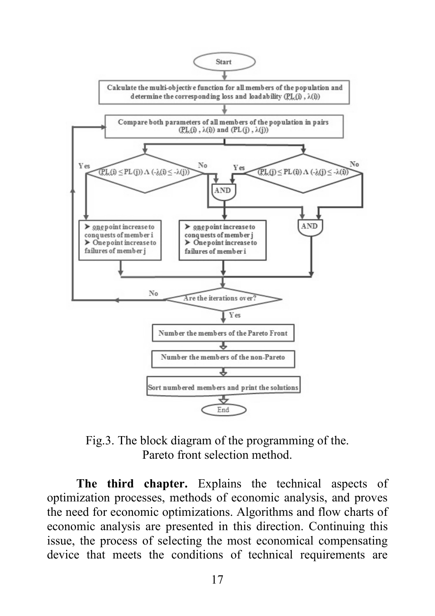

Fig.3. The block diagram of the programming of the. Pareto front selection method.

**The third chapter.** Explains the technical aspects of optimization processes, methods of economic analysis, and proves the need for economic optimizations. Algorithms and flow charts of economic analysis are presented in this direction. Continuing this issue, the process of selecting the most economical compensating device that meets the conditions of technical requirements are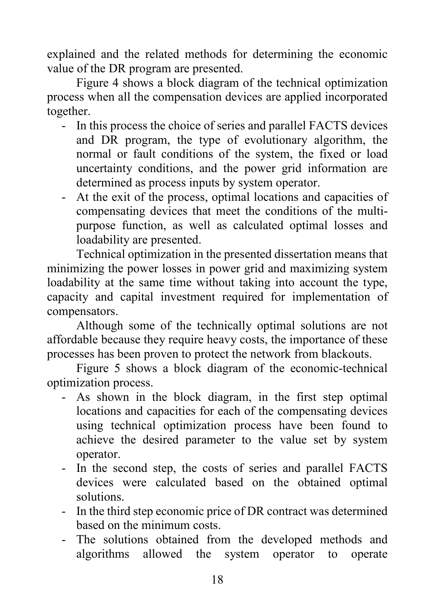explained and the related methods for determining the economic value of the DR program are presented.

Figure 4 shows a block diagram of the technical optimization process when all the compensation devices are applied incorporated together.

- In this process the choice of series and parallel FACTS devices and DR program, the type of evolutionary algorithm, the normal or fault conditions of the system, the fixed or load uncertainty conditions, and the power grid information are determined as process inputs by system operator.
- At the exit of the process, optimal locations and capacities of compensating devices that meet the conditions of the multipurpose function, as well as calculated optimal losses and loadability are presented.

Technical optimization in the presented dissertation means that minimizing the power losses in power grid and maximizing system loadability at the same time without taking into account the type, capacity and capital investment required for implementation of compensators.

Although some of the technically optimal solutions are not affordable because they require heavy costs, the importance of these processes has been proven to protect the network from blackouts.

Figure 5 shows a block diagram of the economic-technical optimization process.

- As shown in the block diagram, in the first step optimal locations and capacities for each of the compensating devices using technical optimization process have been found to achieve the desired parameter to the value set by system operator.
- In the second step, the costs of series and parallel FACTS devices were calculated based on the obtained optimal solutions.
- In the third step economic price of DR contract was determined based on the minimum costs.
- The solutions obtained from the developed methods and algorithms allowed the system operator to operate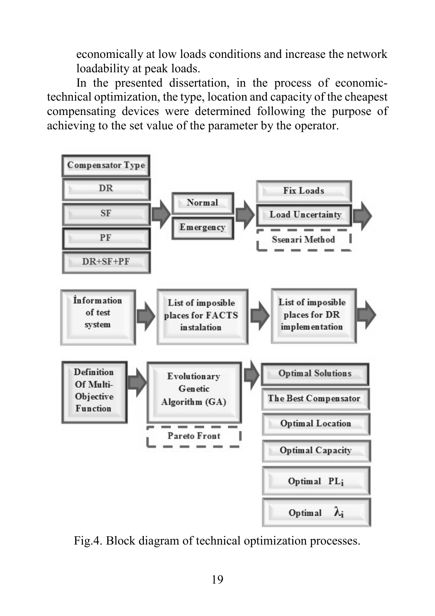economically at low loads conditions and increase the network loadability at peak loads.

In the presented dissertation, in the process of economictechnical optimization, the type, location and capacity of the cheapest compensating devices were determined following the purpose of achieving to the set value of the parameter by the operator.



Fig.4. Block diagram of technical optimization processes.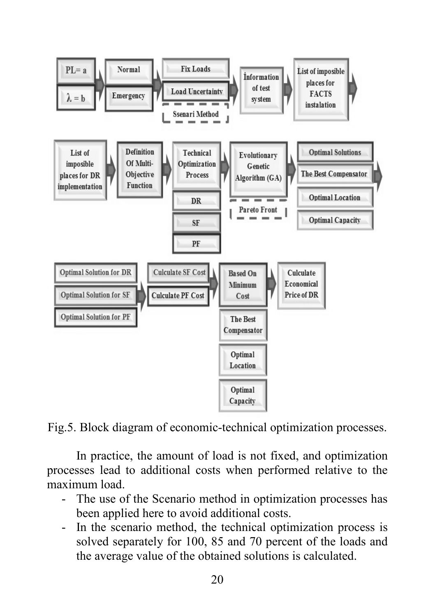

Fig.5. Block diagram of economic-technical optimization processes.

In practice, the amount of load is not fixed, and optimization processes lead to additional costs when performed relative to the maximum load.

- The use of the Scenario method in optimization processes has been applied here to avoid additional costs.
- In the scenario method, the technical optimization process is solved separately for 100, 85 and 70 percent of the loads and the average value of the obtained solutions is calculated.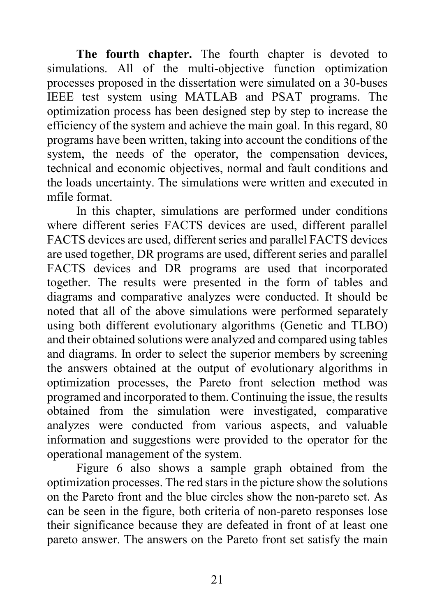**The fourth chapter.** The fourth chapter is devoted to simulations. All of the multi-objective function optimization processes proposed in the dissertation were simulated on a 30-buses IEEE test system using MATLAB and PSAT programs. The optimization process has been designed step by step to increase the efficiency of the system and achieve the main goal. In this regard, 80 programs have been written, taking into account the conditions of the system, the needs of the operator, the compensation devices, technical and economic objectives, normal and fault conditions and the loads uncertainty. The simulations were written and executed in mfile format.

In this chapter, simulations are performed under conditions where different series FACTS devices are used, different parallel FACTS devices are used, different series and parallel FACTS devices are used together, DR programs are used, different series and parallel FACTS devices and DR programs are used that incorporated together. The results were presented in the form of tables and diagrams and comparative analyzes were conducted. It should be noted that all of the above simulations were performed separately using both different evolutionary algorithms (Genetic and TLBO) and their obtained solutions were analyzed and compared using tables and diagrams. In order to select the superior members by screening the answers obtained at the output of evolutionary algorithms in optimization processes, the Pareto front selection method was programed and incorporated to them. Continuing the issue, the results obtained from the simulation were investigated, comparative analyzes were conducted from various aspects, and valuable information and suggestions were provided to the operator for the operational management of the system.

Figure 6 also shows a sample graph obtained from the optimization processes. The red stars in the picture show the solutions on the Pareto front and the blue circles show the non-pareto set. As can be seen in the figure, both criteria of non-pareto responses lose their significance because they are defeated in front of at least one pareto answer. The answers on the Pareto front set satisfy the main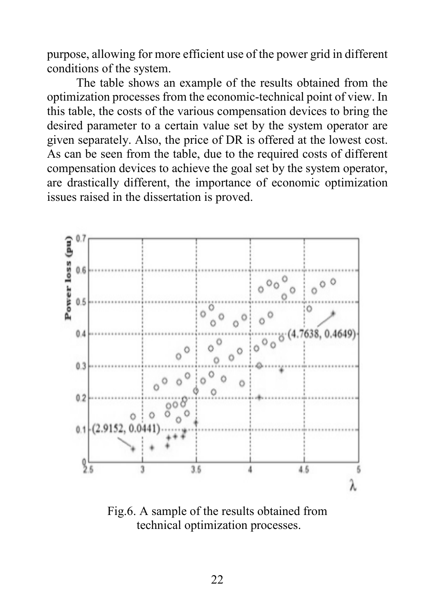purpose, allowing for more efficient use of the power grid in different conditions of the system.

The table shows an example of the results obtained from the optimization processes from the economic-technical point of view. In this table, the costs of the various compensation devices to bring the desired parameter to a certain value set by the system operator are given separately. Also, the price of DR is offered at the lowest cost. As can be seen from the table, due to the required costs of different compensation devices to achieve the goal set by the system operator, are drastically different, the importance of economic optimization issues raised in the dissertation is proved.



Fig.6. A sample of the results obtained from technical optimization processes.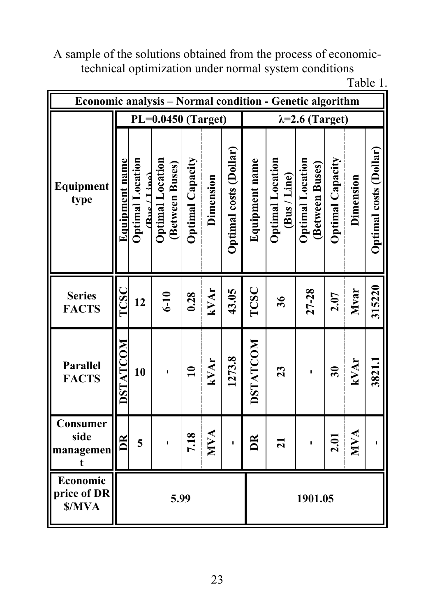A sample of the solutions obtained from the process of economictechnical optimization under normal system conditions

| ш<br>. . |  |
|----------|--|
|          |  |

| Economic analysis - Normal condition - Genetic algorithm |                       |                                                                            |                                            |                         |            |                        |                |                                         |                                            |                             |             |                               |
|----------------------------------------------------------|-----------------------|----------------------------------------------------------------------------|--------------------------------------------|-------------------------|------------|------------------------|----------------|-----------------------------------------|--------------------------------------------|-----------------------------|-------------|-------------------------------|
|                                                          |                       | PL=0.0450 (Target)<br>$\lambda = 2.6$ (Target)                             |                                            |                         |            |                        |                |                                         |                                            |                             |             |                               |
| Equipment<br>type                                        | <u>Equipment name</u> | <b>Optimal Location</b><br>$(\text{R}_{\text{us}} / 1 \text{ in}^{\circ})$ | <b>Optimal Location</b><br>(Between Buses) | <b>Optimal Capacity</b> | Dimension  | Optimal costs (Dollar) | Equipment name | <b>Optimal Location</b><br>(Bus / Line) | <b>Optimal Location</b><br>(Between Buses) | Optimal Capacity            | Dimension   | <b>Optimal costs (Dollar)</b> |
| <b>Series</b><br><b>FACTS</b>                            | $\Gamma{\rm CSC}$     | 12                                                                         | $6-10$                                     | 0.28                    | kVAr       | 43.05                  | TCSC           | 36                                      | $27 - 28$                                  | 2.07                        | <b>Mvar</b> | 315220                        |
| Parallel<br><b>FACTS</b>                                 | <b>DSTATCOM</b>       | 10                                                                         | п                                          | $\mathbf{a}$            | kVAr       | 1273.8                 | DSTATCOM       | 23                                      |                                            | $\boldsymbol{\mathfrak{F}}$ | kVAr        | 3821.1                        |
| Consumer<br>side<br>managemen<br>t                       | $\mathbb{E}$          | 5                                                                          |                                            | 7.18                    | <b>NVA</b> | I.                     | $\mathbb{R}$   | $\overline{z}$                          |                                            | 2.01                        | <b>NVA</b>  |                               |
| Economic<br>price of DR<br>\$/MVA                        |                       |                                                                            | 5.99                                       |                         |            |                        |                |                                         | 1901.05                                    |                             |             |                               |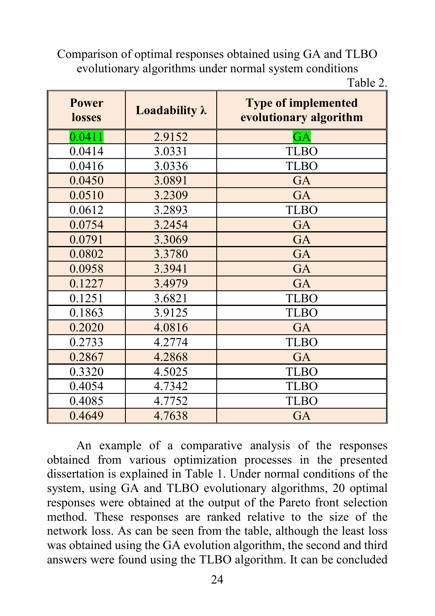Comparison of optimal responses obtained using GA and TLBO evolutionary algorithms under normal system conditions

| ۱<br>ľ<br>е |  |
|-------------|--|
|-------------|--|

| <b>Power</b><br>losses | Loadability $\lambda$ | <b>Type of implemented</b><br>evolutionary algorithm |
|------------------------|-----------------------|------------------------------------------------------|
| 0.0411                 | 2.9152                | GA                                                   |
| 0.0414                 | 3.0331                | <b>TLBO</b>                                          |
| 0.0416                 | 3.0336                | <b>TLBO</b>                                          |
| 0.0450                 | 3.0891                | GA                                                   |
| 0.0510                 | 3.2309                | <b>GA</b>                                            |
| 0.0612                 | 3.2893                | <b>TLBO</b>                                          |
| 0.0754                 | 3.2454                | GA                                                   |
| 0.0791                 | 3.3069                | GA                                                   |
| 0.0802                 | 3.3780                | GA                                                   |
| 0.0958                 | 3.3941                | GA                                                   |
| 0.1227                 | 3.4979                | GA                                                   |
| 0.1251                 | 3.6821                | <b>TLBO</b>                                          |
| 0.1863                 | 3.9125                | <b>TLBO</b>                                          |
| 0.2020                 | 4.0816                | GA                                                   |
| 0.2733                 | 4.2774                | <b>TLBO</b>                                          |
| 0.2867                 | 4.2868                | GA                                                   |
| 0.3320                 | 4.5025                | <b>TLBO</b>                                          |
| 0.4054                 | 4.7342                | <b>TLBO</b>                                          |
| 0.4085                 | 4.7752                | <b>TLBO</b>                                          |
| 0.4649                 | 4.7638                | GA                                                   |

An example of a comparative analysis of the responses obtained from various optimization processes in the presented dissertation is explained in Table 1. Under normal conditions of the system, using GA and TLBO evolutionary algorithms, 20 optimal responses were obtained at the output of the Pareto front selection method. These responses are ranked relative to the size of the network loss. As can be seen from the table, although the least loss was obtained using the GA evolution algorithm, the second and third answers were found using the TLBO algorithm. It can be concluded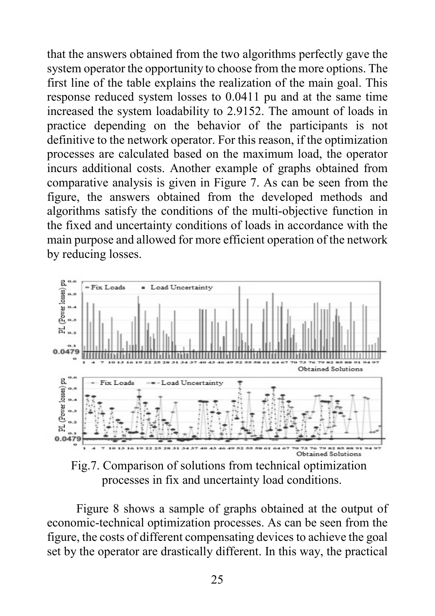that the answers obtained from the two algorithms perfectly gave the system operator the opportunity to choose from the more options. The first line of the table explains the realization of the main goal. This response reduced system losses to 0.0411 pu and at the same time increased the system loadability to 2.9152. The amount of loads in practice depending on the behavior of the participants is not definitive to the network operator. For this reason, if the optimization processes are calculated based on the maximum load, the operator incurs additional costs. Another example of graphs obtained from comparative analysis is given in Figure 7. As can be seen from the figure, the answers obtained from the developed methods and algorithms satisfy the conditions of the multi-objective function in the fixed and uncertainty conditions of loads in accordance with the main purpose and allowed for more efficient operation of the network by reducing losses.



Fig.7. Comparison of solutions from technical optimization processes in fix and uncertainty load conditions.

Figure 8 shows a sample of graphs obtained at the output of economic-technical optimization processes. As can be seen from the figure, the costs of different compensating devices to achieve the goal set by the operator are drastically different. In this way, the practical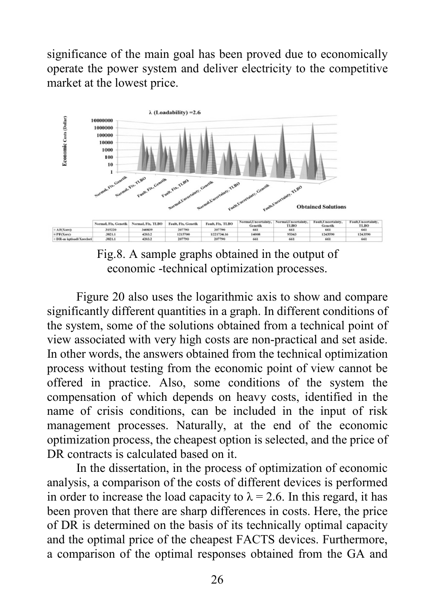significance of the main goal has been proved due to economically operate the power system and deliver electricity to the competitive market at the lowest price.



Fig.8. A sample graphs obtained in the output of economic -technical optimization processes.

Figure 20 also uses the logarithmic axis to show and compare significantly different quantities in a graph. In different conditions of the system, some of the solutions obtained from a technical point of view associated with very high costs are non-practical and set aside. In other words, the answers obtained from the technical optimization process without testing from the economic point of view cannot be offered in practice. Also, some conditions of the system the compensation of which depends on heavy costs, identified in the name of crisis conditions, can be included in the input of risk management processes. Naturally, at the end of the economic optimization process, the cheapest option is selected, and the price of DR contracts is calculated based on it.

In the dissertation, in the process of optimization of economic analysis, a comparison of the costs of different devices is performed in order to increase the load capacity to  $\lambda = 2.6$ . In this regard, it has been proven that there are sharp differences in costs. Here, the price of DR is determined on the basis of its technically optimal capacity and the optimal price of the cheapest FACTS devices. Furthermore, a comparison of the optimal responses obtained from the GA and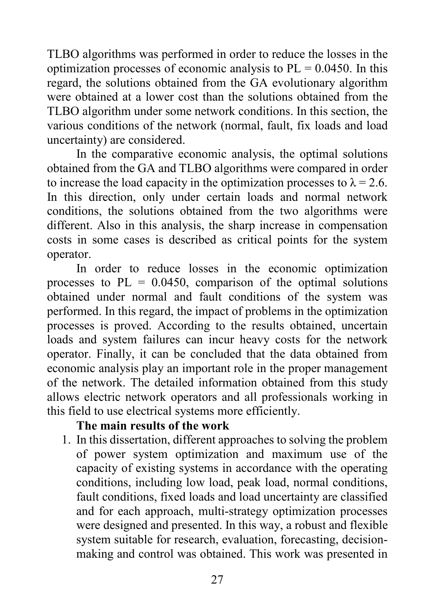TLBO algorithms was performed in order to reduce the losses in the optimization processes of economic analysis to  $PL = 0.0450$ . In this regard, the solutions obtained from the GA evolutionary algorithm were obtained at a lower cost than the solutions obtained from the TLBO algorithm under some network conditions. In this section, the various conditions of the network (normal, fault, fix loads and load uncertainty) are considered.

In the comparative economic analysis, the optimal solutions obtained from the GA and TLBO algorithms were compared in order to increase the load capacity in the optimization processes to  $\lambda = 2.6$ . In this direction, only under certain loads and normal network conditions, the solutions obtained from the two algorithms were different. Also in this analysis, the sharp increase in compensation costs in some cases is described as critical points for the system operator.

In order to reduce losses in the economic optimization processes to  $PL = 0.0450$ , comparison of the optimal solutions obtained under normal and fault conditions of the system was performed. In this regard, the impact of problems in the optimization processes is proved. According to the results obtained, uncertain loads and system failures can incur heavy costs for the network operator. Finally, it can be concluded that the data obtained from economic analysis play an important role in the proper management of the network. The detailed information obtained from this study allows electric network operators and all professionals working in this field to use electrical systems more efficiently.

#### **The main results of the work**

1. In this dissertation, different approaches to solving the problem of power system optimization and maximum use of the capacity of existing systems in accordance with the operating conditions, including low load, peak load, normal conditions, fault conditions, fixed loads and load uncertainty are classified and for each approach, multi-strategy optimization processes were designed and presented. In this way, a robust and flexible system suitable for research, evaluation, forecasting, decisionmaking and control was obtained. This work was presented in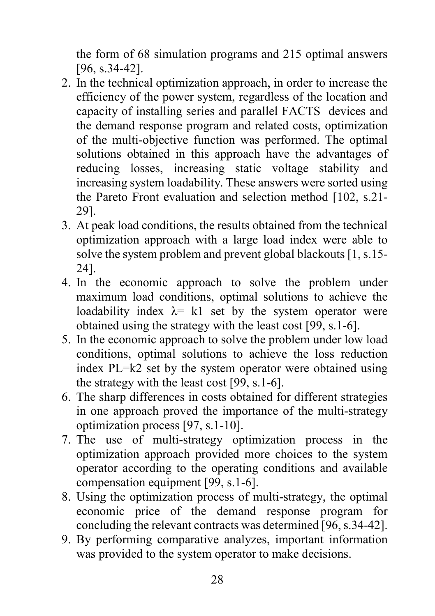the form of 68 simulation programs and 215 optimal answers [96, s.34-42].

- 2. In the technical optimization approach, in order to increase the efficiency of the power system, regardless of the location and capacity of installing series and parallel FACTS devices and the demand response program and related costs, optimization of the multi-objective function was performed. The optimal solutions obtained in this approach have the advantages of reducing losses, increasing static voltage stability and increasing system loadability. These answers were sorted using the Pareto Front evaluation and selection method [102, s.21- 29].
- 3. At peak load conditions, the results obtained from the technical optimization approach with a large load index were able to solve the system problem and prevent global blackouts [1, s.15- 24].
- 4. In the economic approach to solve the problem under maximum load conditions, optimal solutions to achieve the loadability index  $\lambda = k1$  set by the system operator were obtained using the strategy with the least cost [99, s.1-6].
- 5. In the economic approach to solve the problem under low load conditions, optimal solutions to achieve the loss reduction index PL=k2 set by the system operator were obtained using the strategy with the least cost [99, s.1-6].
- 6. The sharp differences in costs obtained for different strategies in one approach proved the importance of the multi-strategy optimization process [97, s.1-10].
- 7. The use of multi-strategy optimization process in the optimization approach provided more choices to the system operator according to the operating conditions and available compensation equipment [99, s.1-6].
- 8. Using the optimization process of multi-strategy, the optimal economic price of the demand response program for concluding the relevant contracts was determined [96, s.34-42].
- 9. By performing comparative analyzes, important information was provided to the system operator to make decisions.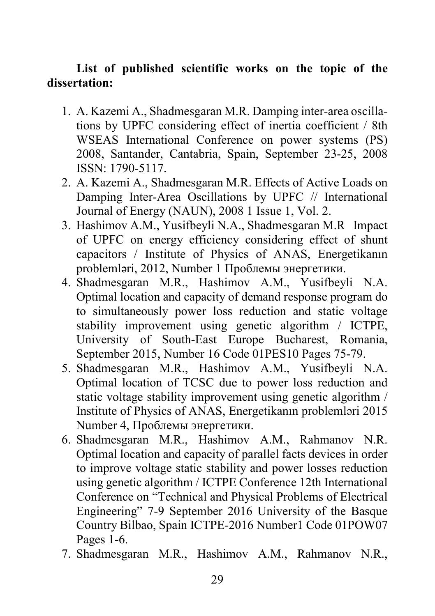### **List of published scientific works on the topic of the dissertation:**

- 1. A. Kazemi A., Shadmesgaran M.R. Damping inter-area oscillations by UPFC considering effect of inertia coefficient / 8th WSEAS International Conference on power systems (PS) 2008, Santander, Cantabria, Spain, September 23-25, 2008 ISSN: 1790-5117.
- 2. A. Kazemi A., Shadmesgaran M.R. Effects of Active Loads on Damping Inter-Area Oscillations by UPFC // International Journal of Energy (NAUN), 2008 1 Issue 1, Vol. 2.
- 3. Hashimov A.M., Yusifbeyli N.A., Shadmesgaran M.R Impact of UPFC on energy efficiency considering effect of shunt capacitors / Institute of Physics of ANAS, Energetikanın problemləri, 2012, Number 1 Проблемы энергетики.
- 4. Shadmesgaran M.R., Hashimov A.M., Yusifbeyli N.A. Optimal location and capacity of demand response program do to simultaneously power loss reduction and static voltage stability improvement using genetic algorithm / ICTPE, University of South-East Europe Bucharest, Romania, September 2015, Number 16 Code 01PES10 Pages 75-79.
- 5. Shadmesgaran M.R., Hashimov A.M., Yusifbeyli N.A. Optimal location of TCSC due to power loss reduction and static voltage stability improvement using genetic algorithm / Institute of Physics of ANAS, Energetikanın problemləri 2015 Number 4, Проблемы энергетики.
- 6. Shadmesgaran M.R., Hashimov A.M., Rahmanov N.R. Optimal location and capacity of parallel facts devices in order to improve voltage static stability and power losses reduction using genetic algorithm / ICTPE Conference 12th International Conference on "Technical and Physical Problems of Electrical Engineering" 7-9 September 2016 University of the Basque Country Bilbao, Spain ICTPE-2016 Number1 Code 01POW07 Pages 1-6.
- 7. Shadmesgaran M.R., Hashimov A.M., Rahmanov N.R.,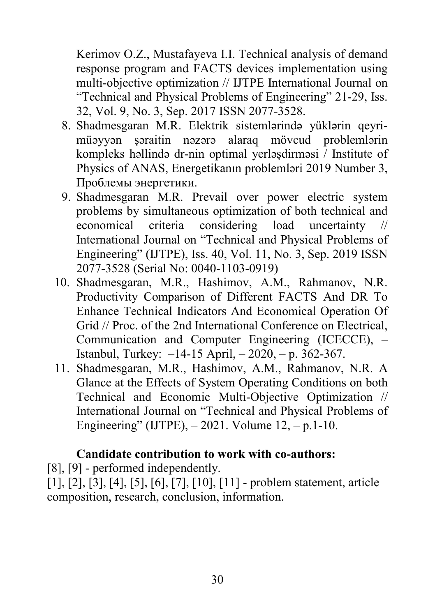Kerimov O.Z., Mustafayeva I.I. Technical analysis of demand response program and FACTS devices implementation using multi-objective optimization // IJTPE International Journal on "Technical and Physical Problems of Engineering" 21-29, Iss. 32, Vol. 9, No. 3, Sep. 2017 ISSN 2077-3528.

- 8. Shadmesgaran M.R. Elektrik sistemlərində yüklərin qeyrimüəyyən şəraitin nəzərə alaraq mövcud problemlərin kompleks həllində dr-nin optimal yerləşdirməsi / Institute of Physics of ANAS, Energetikanın problemləri 2019 Number 3, Проблемы энергетики.
- 9. Shadmesgaran M.R. Prevail over power electric system problems by simultaneous optimization of both technical and economical criteria considering load uncertainty // International Journal on "Technical and Physical Problems of Engineering" (IJTPE), Iss. 40, Vol. 11, No. 3, Sep. 2019 ISSN 2077-3528 (Serial No: 0040-1103-0919)
- 10. Shadmesgaran, M.R., Hashimov, A.M., Rahmanov, N.R. Productivity Comparison of Different FACTS And DR To Enhance Technical Indicators And Economical Operation Of Grid // Proc. of the 2nd International Conference on Electrical, Communication and Computer Engineering (ICECCE), – Istanbul, Turkey: –14-15 April, – 2020, – p. 362-367.
- 11. Shadmesgaran, M.R., Hashimov, A.M., Rahmanov, N.R. A Glance at the Effects of System Operating Conditions on both Technical and Economic Multi-Objective Optimization // International Journal on "Technical and Physical Problems of Engineering" (IJTPE),  $-2021$ . Volume  $12, -p.1-10$ .

### **Candidate contribution to work with co-authors:**

[8], [9] - performed independently.

[1], [2], [3], [4], [5], [6], [7], [10], [11] - problem statement, article composition, research, conclusion, information.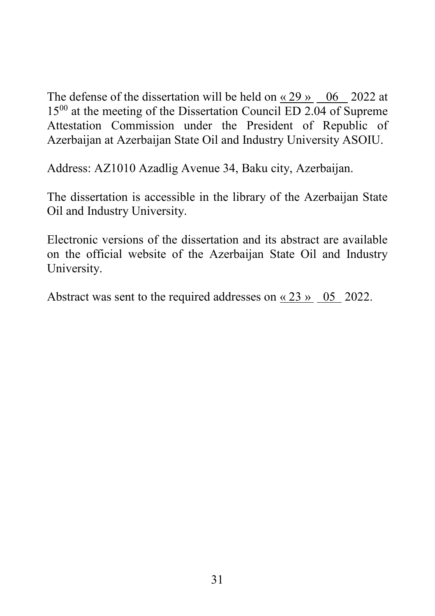The defense of the dissertation will be held on  $\alpha$  29 » 06 2022 at 15<sup>00</sup> at the meeting of the Dissertation Council ED 2.04 of Supreme Attestation Commission under the President of Republic of Azerbaijan at Azerbaijan State Oil and Industry University ASOIU.

Address: AZ1010 Azadlig Avenue 34, Baku city, Azerbaijan.

The dissertation is accessible in the library of the Azerbaijan State Oil and Industry University.

Electronic versions of the dissertation and its abstract are available on the official website of the Azerbaijan State Oil and Industry University.

Abstract was sent to the required addresses on « 23 » 05 2022.